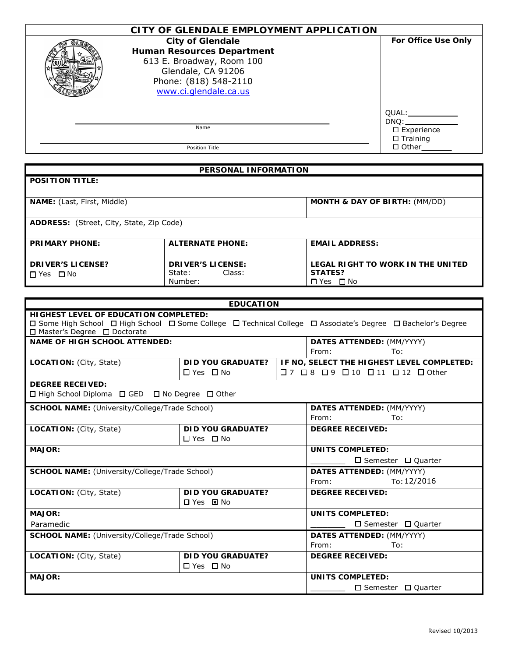| CITY OF GLENDALE EMPLOYMENT APPLICATION                                                                                                                           |                                                                      |
|-------------------------------------------------------------------------------------------------------------------------------------------------------------------|----------------------------------------------------------------------|
| <b>City of Glendale</b><br><b>Human Resources Department</b><br>613 E. Broadway, Room 100<br>Glendale, CA 91206<br>Phone: (818) 548-2110<br>www.ci.glendale.ca.us | For Office Use Only                                                  |
| Name                                                                                                                                                              | QUAL:____________<br>DNO:<br>$\square$ Experience<br>$\Box$ Training |
| Position Title                                                                                                                                                    | $\Box$ Other                                                         |

|                                                 | <b>PERSONAL INFORMATION</b> |                                          |
|-------------------------------------------------|-----------------------------|------------------------------------------|
| <b>POSITION TITLE:</b>                          |                             |                                          |
|                                                 |                             |                                          |
| <b>NAME:</b> (Last, First, Middle)              |                             | <b>MONTH &amp; DAY OF BIRTH: (MM/DD)</b> |
|                                                 |                             |                                          |
| <b>ADDRESS:</b> (Street, City, State, Zip Code) |                             |                                          |
|                                                 |                             |                                          |
| <b>PRIMARY PHONE:</b>                           | <b>ALTERNATE PHONE:</b>     | <b>EMAIL ADDRESS:</b>                    |
|                                                 |                             |                                          |
| <b>DRIVER'S LICENSE?</b>                        | <b>DRIVER'S LICENSE:</b>    | LEGAL RIGHT TO WORK IN THE UNITED        |
| □ Yes □ No                                      | Class:<br>State:            | <b>STATES?</b>                           |

**□**Yes □No

Number:

|                                                 | <b>EDUCATION</b>         |                                                                                                              |
|-------------------------------------------------|--------------------------|--------------------------------------------------------------------------------------------------------------|
| <b>HIGHEST LEVEL OF EDUCATION COMPLETED:</b>    |                          |                                                                                                              |
| □ Master's Degree □ Doctorate                   |                          | □ Some High School □ High School □ Some College □ Technical College □ Associate's Degree □ Bachelor's Degree |
| <b>NAME OF HIGH SCHOOL ATTENDED:</b>            |                          | DATES ATTENDED: (MM/YYYY)                                                                                    |
|                                                 |                          | From:<br>To:                                                                                                 |
| <b>LOCATION: (City, State)</b>                  | <b>DID YOU GRADUATE?</b> | IF NO, SELECT THE HIGHEST LEVEL COMPLETED:                                                                   |
|                                                 | $\Box$ Yes $\Box$ No     | $\square$ 7 $\square$ 8 $\square$ 9 $\square$ 10 $\square$ 11 $\square$ 12 $\square$ Other                   |
| <b>DEGREE RECEIVED:</b>                         |                          |                                                                                                              |
| □ High School Diploma □ GED □ No Degree □ Other |                          |                                                                                                              |
| SCHOOL NAME: (University/College/Trade School)  |                          | <b>DATES ATTENDED: (MM/YYYY)</b>                                                                             |
|                                                 |                          | From:<br>To:                                                                                                 |
| <b>LOCATION: (City, State)</b>                  | <b>DID YOU GRADUATE?</b> | <b>DEGREE RECEIVED:</b>                                                                                      |
|                                                 | $\Box$ Yes $\Box$ No     |                                                                                                              |
| <b>MAJOR:</b>                                   |                          | <b>UNITS COMPLETED:</b>                                                                                      |
|                                                 |                          | $\Box$ Semester $\Box$ Quarter                                                                               |
| SCHOOL NAME: (University/College/Trade School)  |                          | DATES ATTENDED: (MM/YYYY)                                                                                    |
|                                                 |                          | To: 12/2016<br>From:                                                                                         |
| LOCATION: (City, State)                         | <b>DID YOU GRADUATE?</b> | <b>DEGREE RECEIVED:</b>                                                                                      |
|                                                 | 口 Yes 国 No               |                                                                                                              |
| <b>MAJOR:</b>                                   |                          | UNITS COMPLETED:                                                                                             |
| Paramedic                                       |                          | $\Box$ Semester $\Box$ Quarter                                                                               |
| SCHOOL NAME: (University/College/Trade School)  |                          | <b>DATES ATTENDED: (MM/YYYY)</b>                                                                             |
|                                                 |                          | From:<br>To:                                                                                                 |
| LOCATION: (City, State)                         | DID YOU GRADUATE?        | <b>DEGREE RECEIVED:</b>                                                                                      |
|                                                 | $\Box$ Yes $\Box$ No     |                                                                                                              |
| <b>MAJOR:</b>                                   |                          | UNITS COMPLETED:                                                                                             |
|                                                 |                          | $\Box$ Semester $\Box$ Quarter                                                                               |
|                                                 |                          |                                                                                                              |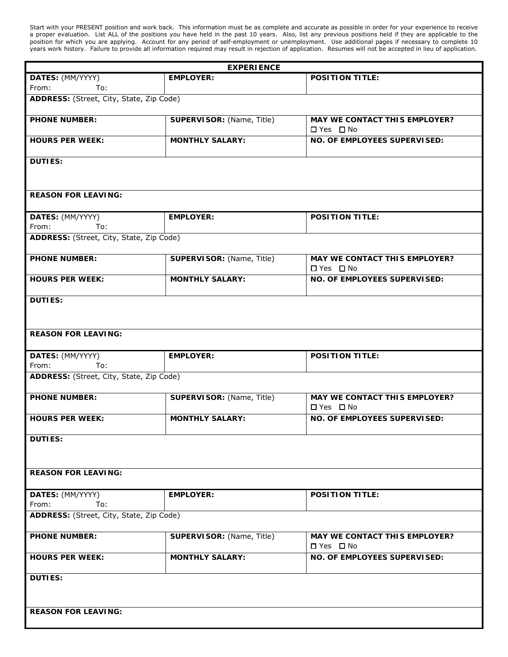Start with your PRESENT position and work back. This information must be as complete and accurate as possible in order for your experience to receive a proper evaluation. List ALL of the positions you have held in the past 10 years. Also, list any previous positions held if they are applicable to the position for which you are applying. Account for any period of self-employment or unemployment. Use additional pages if necessary to complete 10 years work history. Failure to provide all information required may result in rejection of application. Resumes will not be accepted in lieu of application.

|                                          | <b>EXPERIENCE</b>         |                                                              |
|------------------------------------------|---------------------------|--------------------------------------------------------------|
| DATES: (MM/YYYY)<br>From:<br>To:         | <b>EMPLOYER:</b>          | <b>POSITION TITLE:</b>                                       |
| ADDRESS: (Street, City, State, Zip Code) |                           |                                                              |
| <b>PHONE NUMBER:</b>                     | SUPERVISOR: (Name, Title) | <b>MAY WE CONTACT THIS EMPLOYER?</b><br>$\Box$ Yes $\Box$ No |
| <b>HOURS PER WEEK:</b>                   | <b>MONTHLY SALARY:</b>    | NO. OF EMPLOYEES SUPERVISED:                                 |
| <b>DUTIES:</b>                           |                           |                                                              |
| <b>REASON FOR LEAVING:</b>               |                           |                                                              |
| DATES: (MM/YYYY)<br>From:<br>To:         | <b>EMPLOYER:</b>          | <b>POSITION TITLE:</b>                                       |
| ADDRESS: (Street, City, State, Zip Code) |                           |                                                              |
| <b>PHONE NUMBER:</b>                     | SUPERVISOR: (Name, Title) | <b>MAY WE CONTACT THIS EMPLOYER?</b><br>$\Box$ Yes $\Box$ No |
| <b>HOURS PER WEEK:</b>                   | <b>MONTHLY SALARY:</b>    | NO. OF EMPLOYEES SUPERVISED:                                 |
| <b>DUTIES:</b>                           |                           |                                                              |
| <b>REASON FOR LEAVING:</b>               |                           |                                                              |
|                                          |                           |                                                              |
| DATES: (MM/YYYY)<br>From:<br>To:         | <b>EMPLOYER:</b>          | <b>POSITION TITLE:</b>                                       |
| ADDRESS: (Street, City, State, Zip Code) |                           |                                                              |
| <b>PHONE NUMBER:</b>                     | SUPERVISOR: (Name, Title) | MAY WE CONTACT THIS EMPLOYER?<br>$\Box$ Yes $\Box$ No        |
| <b>HOURS PER WEEK:</b>                   | <b>MONTHLY SALARY:</b>    | NO. OF EMPLOYEES SUPERVISED:                                 |
| <b>DUTIES:</b>                           |                           |                                                              |
|                                          |                           |                                                              |
| <b>REASON FOR LEAVING:</b>               |                           |                                                              |
| DATES: (MM/YYYY)<br>From:<br>To:         | <b>EMPLOYER:</b>          | <b>POSITION TITLE:</b>                                       |
| ADDRESS: (Street, City, State, Zip Code) |                           |                                                              |
| <b>PHONE NUMBER:</b>                     | SUPERVISOR: (Name, Title) | <b>MAY WE CONTACT THIS EMPLOYER?</b><br>$\Box$ Yes $\Box$ No |
| <b>HOURS PER WEEK:</b>                   | <b>MONTHLY SALARY:</b>    | NO. OF EMPLOYEES SUPERVISED:                                 |
| <b>DUTIES:</b>                           |                           |                                                              |
|                                          |                           |                                                              |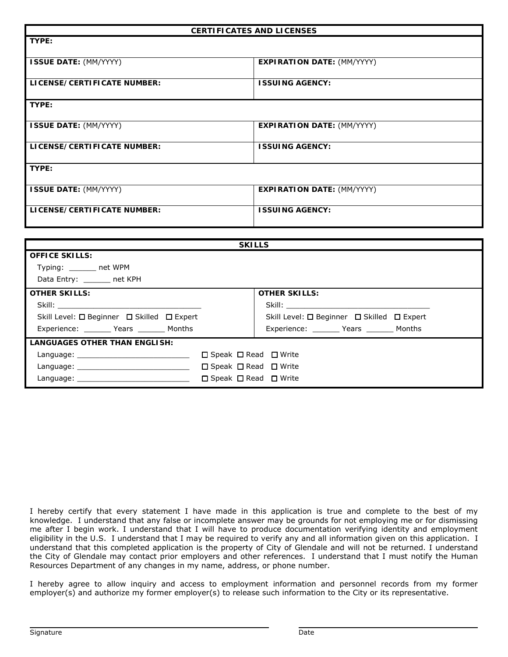|                                            | <b>CERTIFICATES AND LICENSES</b>            |
|--------------------------------------------|---------------------------------------------|
| TYPE:                                      |                                             |
| <b>ISSUE DATE: (MM/YYYY)</b>               | <b>EXPIRATION DATE: (MM/YYYY)</b>           |
|                                            |                                             |
| LICENSE/CERTIFICATE NUMBER:                | <b>ISSUING AGENCY:</b>                      |
| TYPE:                                      |                                             |
|                                            |                                             |
| <b>ISSUE DATE: (MM/YYYY)</b>               | <b>EXPIRATION DATE: (MM/YYYY)</b>           |
|                                            |                                             |
| LICENSE/CERTIFICATE NUMBER:                | <b>ISSUING AGENCY:</b>                      |
| TYPE:                                      |                                             |
|                                            |                                             |
| <b>ISSUE DATE: (MM/YYYY)</b>               | <b>EXPIRATION DATE: (MM/YYYY)</b>           |
| LICENSE/CERTIFICATE NUMBER:                | <b>ISSUING AGENCY:</b>                      |
|                                            |                                             |
|                                            |                                             |
|                                            | <b>SKILLS</b>                               |
| <b>OFFICE SKILLS:</b>                      |                                             |
| Typing: ______ net WPM                     |                                             |
| Data Entry: _______ net KPH                |                                             |
| <b>OTHER SKILLS:</b>                       | <b>OTHER SKILLS:</b>                        |
| Skill:                                     | Skill: <b>Skill</b>                         |
| Skill Level: □ Beginner □ Skilled □ Expert | Skill Level: □ Beginner □ Skilled □ Expert  |
| Experience: ________ Years _______ Months  | Experience: _________ Years ________ Months |
| <b>LANGUAGES OTHER THAN ENGLISH:</b>       |                                             |
| Language: ________________________________ | □ Speak □ Read □ Write                      |
|                                            | □ Speak □ Read □ Write                      |
| Language: _                                | □ Speak □ Read □ Write                      |

I hereby certify that every statement I have made in this application is true and complete to the best of my knowledge. I understand that any false or incomplete answer may be grounds for not employing me or for dismissing me after I begin work. I understand that I will have to produce documentation verifying identity and employment eligibility in the U.S. I understand that I may be required to verify any and all information given on this application. I understand that this completed application is the property of City of Glendale and will not be returned. I understand the City of Glendale may contact prior employers and other references. I understand that I must notify the Human Resources Department of any changes in my name, address, or phone number.

I hereby agree to allow inquiry and access to employment information and personnel records from my former employer(s) and authorize my former employer(s) to release such information to the City or its representative.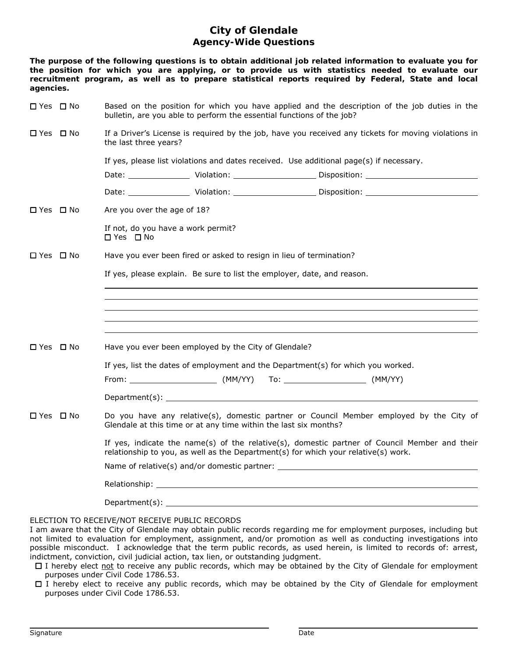## **City of Glendale Agency-Wide Questions**

**The purpose of the following questions is to obtain additional job related information to evaluate you for the position for which you are applying, or to provide us with statistics needed to evaluate our recruitment program, as well as to prepare statistical reports required by Federal, State and local agencies.** 

| □ Yes □ No | Based on the position for which you have applied and the description of the job duties in the<br>bulletin, are you able to perform the essential functions of the job?                                                         |
|------------|--------------------------------------------------------------------------------------------------------------------------------------------------------------------------------------------------------------------------------|
| □ Yes □ No | If a Driver's License is required by the job, have you received any tickets for moving violations in<br>the last three years?                                                                                                  |
|            | If yes, please list violations and dates received. Use additional page(s) if necessary.                                                                                                                                        |
|            |                                                                                                                                                                                                                                |
|            |                                                                                                                                                                                                                                |
| □ Yes □ No | Are you over the age of 18?                                                                                                                                                                                                    |
|            | If not, do you have a work permit?<br>$\Box$ Yes $\Box$ No                                                                                                                                                                     |
| □ Yes □ No | Have you ever been fired or asked to resign in lieu of termination?                                                                                                                                                            |
|            | If yes, please explain. Be sure to list the employer, date, and reason.                                                                                                                                                        |
|            |                                                                                                                                                                                                                                |
|            |                                                                                                                                                                                                                                |
|            |                                                                                                                                                                                                                                |
| □ Yes □ No | Have you ever been employed by the City of Glendale?                                                                                                                                                                           |
|            | If yes, list the dates of employment and the Department(s) for which you worked.                                                                                                                                               |
|            |                                                                                                                                                                                                                                |
|            |                                                                                                                                                                                                                                |
| □ Yes □ No | Do you have any relative(s), domestic partner or Council Member employed by the City of<br>Glendale at this time or at any time within the last six months?                                                                    |
|            | If yes, indicate the name(s) of the relative(s), domestic partner of Council Member and their<br>relationship to you, as well as the Department(s) for which your relative(s) work.                                            |
|            | Name of relative(s) and/or domestic partner: Name of relative of the state of the state of the state of the state of the state of the state of the state of the state of the state of the state of the state of the state of t |
|            | Relationship: will be a series of the contract of the contract of the contract of the contract of the contract of the contract of the contract of the contract of the contract of the contract of the contract of the contract |
|            | Department(s): ____                                                                                                                                                                                                            |

ELECTION TO RECEIVE/NOT RECEIVE PUBLIC RECORDS

I am aware that the City of Glendale may obtain public records regarding me for employment purposes, including but not limited to evaluation for employment, assignment, and/or promotion as well as conducting investigations into possible misconduct. I acknowledge that the term public records, as used herein, is limited to records of: arrest, indictment, conviction, civil judicial action, tax lien, or outstanding judgment.

□ I hereby elect not to receive any public records, which may be obtained by the City of Glendale for employment purposes under Civil Code 1786.53.

 I hereby elect to receive any public records, which may be obtained by the City of Glendale for employment purposes under Civil Code 1786.53.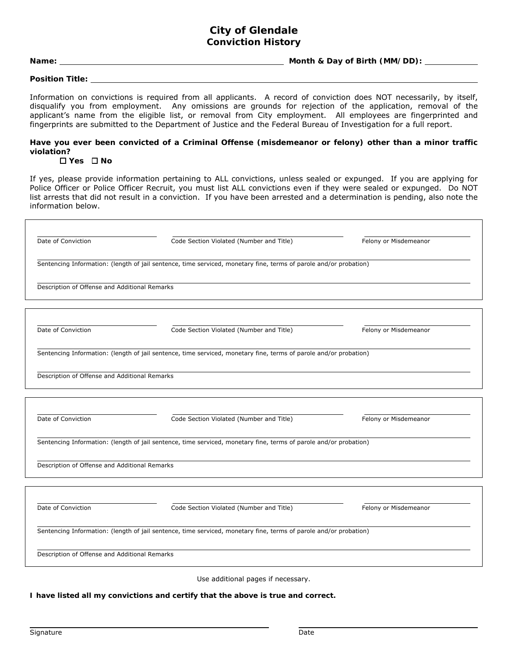### **City of Glendale Conviction History**

**Name: Month & Day of Birth (MM/DD):**

**Position Title:**

Information on convictions is required from all applicants. A record of conviction does NOT necessarily, by itself, disqualify you from employment. Any omissions are grounds for rejection of the application, removal of the applicant's name from the eligible list, or removal from City employment. All employees are fingerprinted and fingerprints are submitted to the Department of Justice and the Federal Bureau of Investigation for a full report.

#### **Have you ever been convicted of a Criminal Offense (misdemeanor or felony) other than a minor traffic violation?**

#### **Yes No**

If yes, please provide information pertaining to ALL convictions, unless sealed or expunged. If you are applying for Police Officer or Police Officer Recruit, you must list ALL convictions even if they were sealed or expunged. Do NOT list arrests that did not result in a conviction. If you have been arrested and a determination is pending, also note the information below.

| Date of Conviction                            | Code Section Violated (Number and Title)                                                                          | Felony or Misdemeanor |
|-----------------------------------------------|-------------------------------------------------------------------------------------------------------------------|-----------------------|
|                                               | Sentencing Information: (length of jail sentence, time serviced, monetary fine, terms of parole and/or probation) |                       |
| Description of Offense and Additional Remarks |                                                                                                                   |                       |
|                                               |                                                                                                                   |                       |
| Date of Conviction                            | Code Section Violated (Number and Title)                                                                          | Felony or Misdemeanor |
|                                               | Sentencing Information: (length of jail sentence, time serviced, monetary fine, terms of parole and/or probation) |                       |
| Description of Offense and Additional Remarks |                                                                                                                   |                       |
|                                               |                                                                                                                   |                       |
| Date of Conviction                            | Code Section Violated (Number and Title)                                                                          | Felony or Misdemeanor |
|                                               | Sentencing Information: (length of jail sentence, time serviced, monetary fine, terms of parole and/or probation) |                       |
| Description of Offense and Additional Remarks |                                                                                                                   |                       |
|                                               |                                                                                                                   |                       |
| Date of Conviction                            | Code Section Violated (Number and Title)                                                                          | Felony or Misdemeanor |
|                                               | Sentencing Information: (length of jail sentence, time serviced, monetary fine, terms of parole and/or probation) |                       |
|                                               |                                                                                                                   |                       |

Use additional pages if necessary.

**I have listed all my convictions and certify that the above is true and correct.**